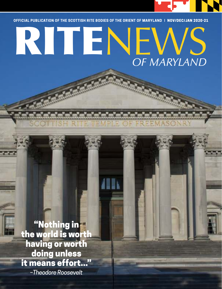

**OFFICIAL PUBLICATION OF THE SCOTTISH RITE BODIES OF THE ORIENT OF MARYLAND** 

# FFICIAL PUBLICATION OF THE SCOTTISH RITE BODIES OF THE ORIENT OF MARYLAND | NOV/DEC/JAN 2020-21 *OF MARYLAND*

"Nothing in the world is worth having or worth doing unless it means effort..." *–Theodore Roosevelt*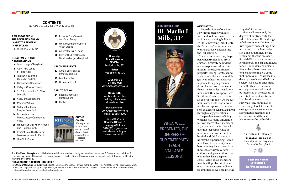### **GREETINGS TO ALL,**

I hope this issue of our Rite News finds each of you safe, well, and looking forward to the rapidly approaching holidays. While I am writing this, it is still the "dog days" of summer and we are anxiously anticipating the Fall Reunion.

These reunions can only happen when tremendous Brothers work tirelessly behind the scenes to put everything into motion. The degree masters, property, robing, lights, sound and cast members all labor diligently to rehearse and deliver impeccable degree presentations. Please take a moment to thank them and let them know how much they are appreciated. It is these efforts that make for an enjoyable reunion where our new Scottish Rite Brothers can receive and appreciate the lessons that have been passed down through many generations. The pandemic we are living with has had many different effects on scores of our members. So, if you talk to a Brother who does not feel comfortable attending a meeting or reunion, be kind and think about what he may be experiencing. Some men have elderly family members who may have pre-existing illnesses, or they may have children and grandchildren for whom they have deep concerns. Many of our members have health problems of their own. These concerns will only

be amplified as we head into the



The *Rite News of Maryland* is published quarterly for the members, family and friends of the Ancient & Accepted Scottish Rite of Freemasonry, Orient of Maryland. The views expressed in the Rite News of Maryland do not necessarily reflect those of the Orient of Maryland or its officers.

#### **SUBMISSIONS & GENERAL INQUIRIES**

*Rite News of Maryland* 3800 North Charles St., Baltimore, MD 21218 | Office: 410-243-3200 | Fax: 410-243-8791 | aasr@verizon.net. Articles are subject to editing and if published, become the property of the Orient of Maryland. No compensation is given for articles, photographs or other materials submitted or published.



### **CONTENTS**

NOVEMBER/DECEMBER/JANUARY 2020-21

**Sovereign Grand Inspector GENERAL** Marlin L. Mills, 33°

**Editor** Fred Spicer, 33°, GC

#### **LOOK FOR US ON THE WEB** www.mdscottishrite.org

**DONATIONS**

- 26 Working with the Masonic Youth Groups
- 27 A Bethel within a Lodge
- 28 Birth of the First Spanish Speaking Lodge in Maryland

Donations to our clinic, building or library are all tax deductible.

Donate online at www.mdscottishrite.org or call 410-243-3200

Our Scottish Rite Childhood Speech & Language Clinic is a 501(c)(3) organization and all charitable gifts are tax deductible.







"regular" flu season.

When well presented, the degrees of our fraternity teach valuable lessons. Through dignified ceremonies the Scottish Rite expands on teachings first introduced in the Blue Lodge. Speaking of dignified, please remember that the dress for Scottish Rite is cap, coat and tie for members and cap and tuxedo for all Honor Men and officers. Remember, there are no second chances to make a great first impression. As we seek to develop ourselves and help our society, we need to encourage those Brothers in the circle of our acquaintance who might be interested in the degrees of the Rite to submit a petition. Membership is key to the survival of any organization.

In closing, I look forward to seeing you as we resume our Scottish Rite meetings and activities around the state. Please stay safe and healthy.



WHEN WELL PRESENTED, THE DEGREES OF OUR FRATERNITY **TEACH** VALUABLE LESSONS.

### **A MESSAGE FROM** Ill. Marlin L. Mills, 33º



Sincerely and Fraternally,

Ill. Marlin L. MILLS, 33º *Sovereign Grand Inspector General in Maryland*



### **A MESSAGE FROM THE SOVEREIGN GRAND INSPECTOR GENERAL IN MARYLAND**

3 Ill. Marlin L. Mills, 33º

#### **DEPARTMENTS AND ORGANIZATIONS**

- 4 Grand Lodge of Maryland
- **5** Albert Pike Lodge of Perfection
- **6** The Degrees of the Council of Kadosh
- **7** Chesapeake Consistory
- 8 Valley of Charles County
- 9 St. Columba Lodge #150-Low Vale
- 10 Valley of Susquehanna
- 11 Masonic Virtues
- 13 Valley of Frederick-Chapter Rose Croix
- 14 Echoes from the Mountaintop—Cumberland Valley
- **18** Whosoever Shall Know Himself Shall Find the Truth
- 20 Excerpt from The History of Freemasonry Vol. IV, Part 2
- 21 The Clinic Corner



### **UPCOMING EVENTS**

- **17** Annual Scottish Rite Christmas Soirée
- 19 Feast of Tishri
- **31** Upcoming Events

### **CALL TO ACTION**

- 24 Recent Charitable Contributions
- **30** Petition

**Share this website with a friend: BeAFreemason.org**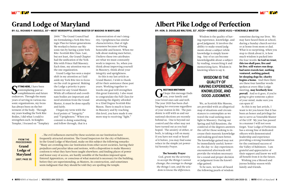**SETTING HERE, I have been**<br>
contemplating past accomplishments and future **ITTING HERE, I have been** contemplating past acendeavors. Through the many years of serving in various masonic organizations, my focus has always been on the betterment of the body. Through my years leading the York Rite Bodies, I did what I could to strengthen each. In Knights Templar, I focused on "Templary



## Grand Lodge of Maryland

**BY: ILL. RICHARD P. NAEGELE, 33°—MOST WORSHIPFUL GRAND MASTER OF MASONS IN MARYLAND**



2000." The Grand Council had me formulating a York Rite Strategic Plan for future generations. We worked to better our Masonic ties by having a joint York Rite-Scottish Rite Class. Last, but not least, the Grand Chapter had the unification of the York Rite with Prince Hall Masonry. Each time, my attention was on the one organization.

Grand Lodge has seen a major shift in my attention as I laid aside my York Rite ties to focus on the craft in general. Making the Lodge a priority is paramount for any Grand Master. While all collateral and coordinate bodies are important and need attention from the Grand Master, it must be done equally and fairly.

I began my term with the focal points of "Integrity" and "Uprightness." When you commit to doing something and follow through, that is a

demonstration of one's integrity. Uprightness has similar characteristics; that of righteousness because of being honorable and honest. When we talk about making men better, I believe these two attributes are what we must constantly work to improve. So, when you think about improving yourself in Masonry, think about your integrity and uprightness.

As this is my last article as Grand Master, I wish to thank all for their assistance these past years. Working together towards one goal will strengthen this great fraternity. I also want to congratulate the Fall Class for attaining the dignity afforded to a 32nd Degree Scottish Rite Mason. There is much to learn in Masonry and by reaching this level, you have made it one more step to receiving "light."

G **REETINGS BRETHREN!**  I hope this message finds you, your family and your loved ones safe and well. The year 2020 has been challenging for everyone regardless of your station in life. The pandemic is still with us and our national elections are recently behind us. One is beyond our control and the other may not have turned out as you had hoped. The anxiety of either, or both, is taking a toll on many. If you have not read or heard of it before, you may find some solace in the simple yet powerful Serenity Prayer.

#### The Serenity Prayer

*God, grant me the serenity to accept the things I cannot change; the courage to change the things I can; and the wisdom to know the difference.*

# Albert Pike Lodge of Perfection

### **BY: HON. D. DOUGLAS WALTERS, 32°, KCCH—HOWARD LODGE #101—VENERABLE MASTER**



Wisdom is the quality of having experience, knowledge, and good judgment. It involves the ability to make sound judgments about a subject while knowledge is simply knowing. Any of us can become knowledgeable about a subject by reading, researching it and memorizing facts. Wisdom is knowing when to say it.

We, as Scottish Rite Masons, are provided with an allegorical conferral of the degrees answers the call for those seeking to increase their masonic knowledge The knowledge gained may not be immediately useful; however, the day-to-day experiences for a sound and proper decision

map of situations and circumstances to contemplate as we travel the road seeking more light in Masonry. During our Spring and Fall Reunions, the and making good men better. encountered afterwards will provide the wisdom necessary or judgement from the knowledge gained.

To be sure, we have all heard the following pearls of wisdom



sometime during our lives. We may have heard them at school, during a Sunday church service or at home from mom or dad. What is so surprising, when you stop to think about it, is how much wisdom is packed into the four words: In God we trust; this too shall pass; live and let live; still waters run deep; bad news travels fast; nothing ventured, nothing gained; let sleeping dogs lie; charity begins a home. And then there are these four familiar words spoken at every Blue Lodge meeting, may brotherly love prevail. And so it goes, if you're going to give someone a piece of your mind, make sure you can spare it!

As this is my last article, I want to let you know that it has been an honor and privilege for me to serve as Venerable Master of the LOP. My year has passed in a manner I will not soon forget. Your Lodge of Perfection has a strong line of dedicated officers with demonstrated leadership and experience providing a strong foundation for the continued success of the Valley of Baltimore. I am grateful and appreciative of their support and know we will all benefit from it in the future.

Wishing you a blessed and joyous holiday season with family and friends.

### **WISDOM IS THE QUALITY OF HAVING EXPERIENCE, KNOWLEDGE, AND GOOD JUDGMENT.**

…The evil influences exerted by these societies on our Institution have frequently attracted attention. The Grand Inspectors for the city of Baltimore, in the Grand Lodge of Maryland, make on this subject the following remarks: "Many are crowding into our Institution from other secret societies, having their prejudices and peculiar ideas and notions, with a disposition to make Masonry conform to what they have been taught elsewhere; and finding places of power and honor easy of access, are hardly sensible of the burdens imposed upon Entered Apprentices, or conscious of what material is necessary for the building, before they are superintending, as Masters, its construction, and sometimes seem indignant that they should be told they are spoiling the temple.

**FROM THE PROCEEDINGS**  Grand Lodge of Maryland **1857, PAGE 35**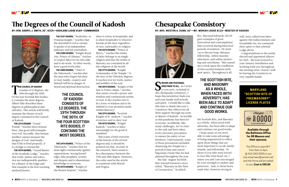$\overline{\text{T}}$ **HE COUNCIL OF KADOSH** consists of 12 degrees, the 19th through the 30th. Of the four Scottish Rite bodies, it contains the most degrees. Albert Pike describes these degrees as philosophical and chivalric. This article will briefly examine the theme of each degree contained in the Council of Kadosh.

**THE 19TH DEGREE** "Grand Pontiff," teaches three lessons. First, that good will triumphs over evil. Secondly, that human intellect cannot measure the designs of God. And finally, that if life is lived properly, it is a bridge to eternal life.

**THE 20TH DEGREE,** "Grand Master of the Symbolic Lodge," teaches that truth, justice and toleration are indispensable qualities for a Master of the lodge and that example is the best teaching method known.



## The Degrees of the Council of Kadosh

**BY: HON. DARRYL J. SMITH, 32°, KCCH—HIGHLAND LODGE #184—COMMANDER**



**THE 21ST DEGREE,** "Noahchite, or Prussian Knight," teaches that the downfall of evil is certain. It speaks of an independent judiciary and fair journalism.

**THE 22ND DEGREE,** "Knight Royal Axe, Prince of Libanus," teaches to respect labor for its own sake and to do work. In other words, have a good work ethic.

**THE 23RD DEGREE,** "Chief of the Tabernacle," teaches that the man who forgets his duty to God, family, country and himself will be in danger of moral and spiritual destruction.

**THE 24TH DEGREE,** "Prince of the Tabernacle," teaches that we must fight continuously against superstitions, wrong knowledge, false prophets, tyrants and despots and to disseminate knowledge to everyone. **THE 25TH DEGREE,** "Knight of the Brazen Serpent," teaches

there is virtue in hospitality and to show hospitality to whoever knocks at the door regardless of race, nationality or religion.

> INCERE AND FRATERNAL<br>
> GREETINGS TO ALL. As I write<br>
> to you now, on behalf of **INCERE AND FRATERNAL GREETINGS TO ALL.** As I write the Chesapeake Consistory, I hope this newsletter finds you and your family well in body and spirit. I would like to take this time to thank this year's Consistory line officers for all their support through my term as Master of Kadosh. As terrible as this pandemic has been for everyone, worldwide, like many challenges, we've risen to the task and have taken every necessary precaution to ensure the safety of our brethren. Unfortunately, some of those precautions included shuttering the Temple for a period of time and cancelling many events that we had planned throughout the year.

**THE 26TH DEGREE,** "Prince of Mercy," teaches the trinity of deity belongs to no single religion and that the truths of Masonry are contained in all the religions of the world.

**THE 27TH DEGREE,** "Knight Commander of the Temple," is the first of the Chivalric degrees. It teaches love for truth, justice and nobility of the soul.

**THE 28TH DEGREE,** "Knight of the Sun or Prince Adept," teaches that nature reveals a power and wisdom and continuously points to God. It also teaches one to be a lover of wisdom and to be faithful to your promises made within Masonry.

**THE 29TH DEGREE,** "Scottish Knight of St. Andrew," teaches reverence and to obey God.

**THE 30TH DEGREE,** "Knight Kadosh," teaches to labor unceasingly for the good of mankind.

This is just a brief overview of the lessons of the several degrees and, it should be pointed out that, in some of the research, there seems to be a discrepancy between the 27th and 28th degree. However, the order used in the article is consistent with Morals and Dogma.

### **MARYLAND "SCOTTISH RITE OF FREEMASONRY" LICENSE PLATES**



**Available through the Baltimore Office for SR Masons and their spouses.**

The Office is open M-F from 9am to 4pm @ 410-243-3200 or you may email aasr@verizon.net and the forms will be mailed to you. **Cost is \$30.00**

The July-August Scottish Rite Journal featured a story titled, "Masonry in the Time of Coronavirus," in which

# Chesapeake Consistory

# **BY: BRO. WESTON A. DUNN, 32°—MT. MORIAH LODGE #116—MASTER OF KADOSH**



Bro. Maynard Edwards, KCCH gave examples of great innovation and contemplation that occurred during historical periods of isolation. He went on to discuss long-distance fellowship, online masonic education, and online mentoring and catechisms. This caused me to look upon the conditions of this societal isolation with new optics. Throughout it all,

the Scottish Rite, and Masonry as a whole, when faced with adversity, has been able to adapt and continue our good works. I hope many of you were able to take some advantage of being sequestered to reflect upon those things that are most important to us all; family, friends, and fellowship. To those of you who were forced to face this virus head-on, I salute you and I am encouraged by your strength to endure and persevere. And, to those brave souls who, however strong in

**THE COUNCIL OF KADOSH CONSISTS OF 12 DEGREES, THE 19TH THROUGH THE 30TH. OF THE FOUR SCOTTISH RITE BODIES, IT CONTAINS THE MOST DEGREES.** 

will, were called from labor against this indiscriminate and formidable foe, we commend their spirit to that celestial Lodge above.

Congratulations to the newly elected and appointed officers for 2021. We look forward to your January installation and working with you throughout the ensuing term; I know I will be leaving the Consistory in very capable hands.

### **THE SCOTTISH RITE, AND MASONRY AS A WHOLE, WHEN FACED WITH ADVERSITY, HAS BEEN ABLE TO ADAPT AND CONTINUE OUR GOOD WORKS.**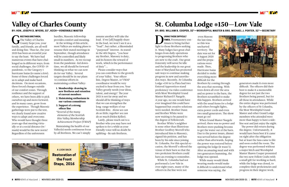

### Valley of Charles County

**BY: HON. JOSEPH D. MYERS, 32°, KCCH —VENERABLE MASTER**

# St. Columba Lodge #150—Low Vale

**BY: BRO. WILLIAM B. COOPER, 32°—WORSHIPFUL MASTER & BRO. MICHAEL J. PORTER, 32°—SECRETARY**

G **REETINGS BRETHREN.** The Valley of Charles County hope you, your family, and friends, are all well and doing fine. Thus far, the year 2020 has been an eventful year to say the least. We have had numerous events that have challenged us in different ways; from social challenges, the COVID-19 pandemic, to the Category 1 hurricane Isaias (to name a few). Some of these challenges forced us to adapt and make hard decisions. On most occasions, these forced changes outside of our comfort zones. Through resilience and the support of others, we have been able to pick ourselves up and move forward; and in many cases, grow from the experience. Though Masonic gatherings were put to the test, we clearly found new creative ways to adapt and overcome. Who would have thought three years ago that meeting virtually or at a social distance (w/ mask) would be the new norm? Regardless of the unforeseen

D **URING THESE DIFFICULT TIMES,** Freemasonry continues to bring further light to those Brothers seeking it. Many lodges face great challenges from daily operations to progressing Brothers who are new to the craft. Our great fraternity will never be idle and the leadership in our great state of Maryland has promoted safe ways to continue making progress in new and unorthodox ways. Recently, St Columba Lodge #150 in La Plata had two Entered Apprentices stand proficiency via video conference with Most Worshipful Grand Master Richard P. Naegele. A year ago, no one would have ever imagined this could have happened but creative solutions were needed. Brother Dunn and Brother White were now waiting to be passed to the degree of Fellowcraft.

Brother White's neighbor is none other than Illustrious Brother Geoffrey Morrell who introduced him to Masonry, signed his petition, and has been by his side since joining St. Columba. For this special occasion, the Morrell's offered the venue of their barn so that the two proficient Brothers could have an evening to remember.

While St. Columba had not performed a Low Vale in over eight years, many of the officers in the line were not

hurdles, Masonic fellowship provides comfort and meaning. At the writing of this article, most Valleys are making plans to resume their stated meetings in September, though attendance will be controlled and likely small in numbers. As we recoup from the pandemic-fed downtime, we all should be forward thinking on what we can now do for our Valley. Several targets should be in our plans

 to continue efforts in maintaining a robust Valley:

- 1. Membership: drawing in new Brethren and retention of current members
- 2. Maintaining enthusiasm in our various committees
- 3. Support of a strong officer line

*\* Several of the many elements of the Scottish Rite Valley Membership Achievement Project (VMAP)*

Maintaining the health of our Valley(s) needs continuous focus by all Brethren. We can't simply

 even Masons the last time, so this was uncharted territory. The date was set for 4 August 2020 and the preparations were made. Then, Hurricane Isaias decided to make everything more difficult for the Brothers by coming through the area that morning. With trees down all over the area and no power to the barn, the Brothers scrambled to make this happen. Brothers arrived with the usual items for a lodge and others brought lights, extra power cords and even two small generators. The show must go on!

When Grand Master Naegele arrived, there was no power and Brothers were pushing brooms to get the water out of the barn. Due to the power issues, dinner was served before the degree rather than afterwards, hoping the power was restored before opening the lodge (it wasn't). After an amazing meal and with two generators humming, the lodge was opened.

While many would think wearing masks would make it difficult to understand what someone was saying, the





assume another will take the load. If we [all] happily share in the load, we won't see it as a "load", but rather, a likeminded "purposed" interest. As stated in the 4th Degree, "you hear my Brother, Masonry is duty, and its honors the reward of work, which is the performance of duty"...

Please consider ways that you can contribute to the growth of your Valley. Your officer line, Degree Master, or VMAP coordinator would be very excited to hear from you. Your Valley greatly needs your ideas, talent, and energy! The year 2021 is not far away and we should all be thinking of ways that we can strengthen the long-range welfare of our Scottish Rite. *Alone we can do so little; together we can do so much* (Helen Keller).

Lastly, please reach out to a Brother who you may have not spoken to for a while as your friendly voice will no doubt be uplifting—Be safe Brethren.

generators made it even more difficult. The officers did their best to make it a memorable degree for not just the two Brothers being passed, but for all those in attendance. While the entire degree was performed by the officers of St Columba, the Most Worshipful Grand Master and other Grand Lodge members who attended were more than happy to have a sideline seat and just enjoy the night.

The power did return during the degree. Unfortunately, it would have been best if it came on right after the obligation but at least the fans came to life and soon cooled the room. The degree was performed without a major hitch and Worshipful Master Shawn Cooper presented the two new Fellow Crafts with a small gift for working so hard, while the lodge was closed, to complete their proficiencies and progress in their degree work.



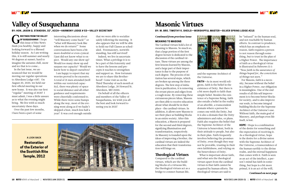### Masonic Virtues

**BY: W. BRO. TIMOTHY K. SHEILS—WORSHIPFUL MASTER—SILVER SPRING LODGE #215**

### Valley of Susquehanna

**BY: HON. JASON Q. STANDISH, 32°, KCCH—HARMONY LODGE # 53—VALLEY SECRETARY**

#### *Continued from previous issue*

#### **MEANING TO MASONS**

The Cardinal virtues hold a lot of meaning to Masons. So much so, that a large portion of the first degree lecture is dedicated to the discussion of the cardinal virtues. These virtues are among the first lessons learned by Masons, and a large part of their impor-

G **REETINGS FROM THE VALLEY OF SUSQUEHANNA!** I hope this issue of Rite News finds you healthy, happy and looking forward to a Blessed holiday season. As I am writing this, it is still summer and nearly 90 degrees at sunset; hard to imagine the autumn chill, snow and ice that is to come…

> tance is due to the purpose of each degree. The process of initiation has several steps, which are broken up among the three degrees. The first step of initiation is purification, it is removing the errant pieces and edges from a rough stone. By removing these extraneous pieces/ideas, Masons are then able to receive education about what should be in their place —the cardinal virtues. In addition, it allows new Masons to see their place as building blocks in an entire society. After this education, a Mason is prepared for the second and third degrees, signifying illumination and transformation, respectively. As Masonry is founded upon the ideas of improving a brother, the cardinal virtues are indeed the education that their transformation will hinge on.

### Theological Virtues

Compared to the cardinal virtues, which are the building blocks of a virtuous life, the theological virtues act as a bridge to connect human life,



In the last issue, we announced that we would be moving our regular operations to Aberdeen Lodge #187. On August 20, 2020, we held our first official meeting in our new home. It was also our first "regular" meeting of 2020! I must admit, I was a little unsure as to what the evening might bring. We live with so much uncertainty these days.

Over the past few months, I have been a part of some

and the supreme Architect of the Universe.

**FAITH**—As in most world religions, faith is the belief in the existence of Deity. But there is a bit more depth to faith than simple belief. Besides the existence of a Supreme Being, faith also entails a belief in the reality of an afterlife, a transcendent domain where a person becomes one with the Deity, but it is also a domain that the Deity administers and rules, or plans. Faith also requires the belief that the Supreme Architect of the Universe is benevolent, both in their attitude to people, but also in their plan. Faith frequently involves believing the promises of Deity, even though they may not be provable, trusting in their own faithfulness, and relying on the benevolence of Deity. What is important about faith, and what sets the theological virtues apart from the cardinal

virtues is that faith cannot be acquired by human efforts. The theological virtues are said to

interesting discussions about "will Masonry come back?" or "what will Masonry look like when we do return?" Some conversations have been a bit more doubtful or even cynical. I just did not know what to expect. Would any one show up? Would too many show up and surpass our capacity? Would we know how to deport ourselves?

I am happy to report that my worries proved to be excessive. A total of 21 men attended (well within our restricted capacity), there was plenty of space to social distance and all other guidance and requirements were cheerfully conformed to. While there were some bumps along the way, most of the evening went along as if we hadn't skipped a beat, much less half a year! It was cool enough outside

be "infused" in the human soul, and not reachable by human efforts. In contrast to prudence, which has an emphasis on reason, faith requires a person to not reason through something, but to trust in the plan of a Higher Power. The importance of faith as a theological virtue is illustrated in Hebrews 11:1: *"Now faith is the assurance of things hoped for, the conviction of things not seen."*

For Masons, faith is a necessity, because without the belief in a Higher Power, our obligation is meaningless. One of the end results of all this self improvement is to become better blocks for society, and to also improve our souls, to become integral building blocks for the Supreme Architect of the Universe's use. Without faith, the main goal of Masonry, and perhaps even life itself, is lost.

**HOPE**—Hope is a combination of the desire for something and the expectation of receiving it. As a theological virtue, hope is the desire for a divine union with the Supreme Architect of the Universe, a transcendence of the human earthly to the divine realm, and the eternal happiness that comes with it. Faith is seen as an act of the intellect, a person's mind has faith in something, but hope is a bit more primal, it is an act of the will,

#### *Continued on next page*

that we were able to socialize safely following the meeting. It also appears that we will be able to hold our Fall Classes as scheduled. Freemasonry, notwithstanding, has still survived!

Indeed, we live in uncertain times. What a privilege it is to be a part of this fraternity and to have the lessons and precepts it teaches to strengthen and support us. How fortunate we are to share this Brotherhood! Come visit us on the Third Thursday of each month at Aberdeen Lodge, 20 Howard St. Aberdeen, MD 21001.

On behalf of all the officers and members of the Valley of Susquehanna, we wish you all the best and look forward to seeing you in 2021!



**A LOOK BACK Restoration of the Exterior of the Scottish Rite Temple, 2012**

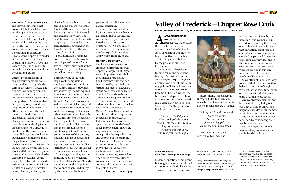

#### *Continued from previous page*

and may be something that doesn't fall in line with rational thought. However, hope is concerned with the future as compared to faith and charity, which tend to exist in the present. At the present time, one has hope, but the end result of hope is something in the future.

For Masons, hope is a reminder of the union with our Great Creator, and to always have this hope as a goal, and as a mental outlook, or inspiration for all our thoughts and actions.

**CHARITY**—The meaning of charity varies depending on its usage, and has its origin in the term agape which is Greek, and signifies love coming from our Creator. 1 Corintians is a basis for this definition of agape, and its importance: "And now abide faith, hope, love, these three; but the greatest of these is love." In other translations of the Bible, the word "charity" was used. The essential feeling behind charity however is love, which is a very important driving factor for something. As a virtue it entails love for the Divine Creator above all things, but also love for our neighbor, bringing to mind the golden rule - that if we have love for our creator, it necessarily follows that we should also have love for all things created by our Creator. Charity is held to be the ultimate perfection of the human spirit. It both glorifies and reflects the nature of our Divine Creator as a loving, benevolent being. Charity goes far beyond

charitable works, but the driving force behind these works is this love for all humankind. Charity is divinely infused into the soul, and comes from within. One can't become charitable through simple logic. It is possible to perform charitable actions, but the force behind charity, the love, comes from within.

For Masons, it is a reminder both that our charitable works are a display of our love for our Divine Creator, but also that they are inspired by a deep love for our fellow human beings.

LWAYS REMEMBER THE<br>PELICAN. As part of our<br>18th degree, the Scottish **LWAYS REMEMBER THE PELICAN.** As part of our Rite recalls the life of service and self-sacrifice exhibited by Jesus of Nazareth and the new law of love that he preached.

**ORIGINS**—One of the main origins of the emphasis on theological virtues comes from the Summa Theologica, which was written by Thomas Aquinas from 1265-1274, but was unfinished due to his death. Like The Republic, Summa Theologica is written as a sort of dialogue, and was intended as an instructional guide for theology students, and other members of the church. In it, Aquinas presents the reasons for most points of Christian theology, and like Plato, examines them through a series of questions, points and counterpoints. In part 2 of the Summa, Aquinas talks about ethics, and the virtues that are needed. Aquinas mentions the 4 cardinal virtues as virtues that are subject to human reason and will, and acknowledged that they are the principle habits on which the rest of the virtues hinge. He adds that there is another happiness that cannot be achieved simply by the exercise of the human

powers without divine supernatural assistance.

These virtues are called theological virtues because they are directed to the Great Creator, and because they are infused into the soul by our great Creator alone. No amount of reason or virtue can increase the theological virtues, they simply come from the heart.

**MEANING TO MASONS**—The theological virtues have a smaller emphasis during the Entered Apprentice degree, but they are no less important. As a whole, they make a great distinction between virtues that can be exercised by the mind, and virtues that must be exercised by the heart. Masonic education traditionally tends to the mind, symbols and allegories are used, such as the arts and sciences and orders of architecture, to implant wisdom into the mind of a Mason. Ancient Greek thoughts and ideals made a resurgence in the Renaissance and Age of Enlightenment, and were adopted by Masons for the benefit of self improvement. However, improving the mind is not enough. The theological virtues, and emphasis of the Supreme Architect of the Universe, serve to remind Masons to focus on the virtues that come from the heart as well, and have a focus on something external to a person. In this way, Masons are reminded that their actions are as equally important as their thoughts and ideas. *Continued on next page*  Valley of Frederick—Chapter Rose Croix

**BY: RICHARD P. BROWN, 32°, WISE MASTER—PHILANTHROPIC LODGE #168**

This is in part symbolized by the pelican in our Rose Croix jewel.

The symbol of the pelican feeding her young has a long history. According to author Alison Payne (https://anglicancg.org.au/origins-of-the-vulning-pelican/), the self-sacrifice of the pelican for her brood became a Christian symbol that is frequently depicted in church architecture, and is mentioned in a passage attributed to John Skelton, an English poet who lived from 1460-1529:

*"Then sayd the Pellycane, When my byrdts be slayne, With my bloude I them reuyue. Scrypture doth record The same dyd our Lord, And rose from deth to lyue."*



Interestingly, this concept is further alluded to in remarks made by the character Laertes in a scene in Shakespeare's Hamlet:

*"To his good friends thus wide I'll ope my arms; And like the kind life-rendering pelican, Repast them with my blood."*

In our world today, we see service to others and

self-sacrifice exhibited by the noble men and women of our armed forces, and by their loved ones at home; in the willing way that our nation's first responders and law enforcement professionals face personal dangers in protecting us every day; and in the brave and compassionate care our front line healthcare workers provide in our communities, even in the face of a pandemic like COVID-19.

As we attempt in our own way to model their kindness, selfless behavior, and love of neighbor, we must, at the same time, show our gratitude for their exemplary lives and noble deeds.

May we always remember and be true to them by living out our duty to God, country, and neighbor each day in our homes, workplaces, and communities.

May we always act out of love for others by considering their needs before our own.

And, as Knights Rose Croix, may we always remember the symbol of the pelican.

### *Masonic Virtues Continued from previous page*

Masonic education is important, but lodges also focus on spiritual endeavors and charitable works. These activities are to improve

our souls, in preparation for our reunion with our Great Creator.

*Image from this issue, Theological Virtues: Edward Burne-Jones, 1887, St Martin's Church, Brampton, Cumbria Image from previous issue: Cardinal* 



*virtues—Reproduced from the frontispiece to An Encyclopaedia of Freemasonry and Its Kindred Sciences, Vol. II, by Albert G. Mackey. The Masonic History Company, New York: 1917. Artist uncredited*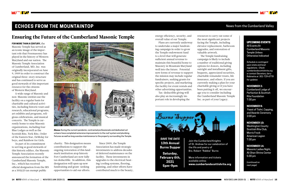

### **ECHOES FROM THE MOUNTAINTOP News from the Cumberland Valley**

**FOR MORE THAN A CENTURY,** the Masonic Temple has served as an iconic image of the important role that Freemasonry has played in the history of Western Maryland and our nation. The Masonic Temple Association of Cumberland, MD, Inc. was originally incorporated on June 9, 1909 in order to construct the original three-story structure and has continued to serve as good stewards of this important resource for the citizens of Western Maryland.

As part of its commitment to serving as good stewards of this historic edifice, the Masonic Temple Association recently announced the formation of the Cumberland Masonic Temple, Inc., which has received official designation from the IRS as a  $501(c)3$  tax exempt public





A wide range of Masonic and non-Masonic entities use the facility on a regular basis for charitable and cultural activities, including historic tours and research, educational programs, art exhibits and programs, religious celebrations, and musical concerts. The Temple is currently home to nine Masonic organizations, including four Blue Lodges as well as the Scottish Rite, York Rite, Order of the Eastern Star, DeMolay for boys, and Rainbow for Girls.

### Ensuring the Future of the Cumberland Masonic Temple

### UPCOMING EVENTS

All Events At Cumberland Masonic Temple Unless Otherwise Indicated

*Schedule is contingent upon state and local regulations. Check cumberlandscottishrite.org or contact Secretary Jerry Robinette at 301-729-6778 for updates*

### **NOVEMBER 2:** Cumberland Lodge of Perfection & Scottish

Rite Foundation 7:30 pm

### **NOVEMBER 8:**

 Feast of Tishri, Capping, and Awards Ceremony 2:00 pm

### **NOVEMBER 10:**

Washington County Scottish Rite Club, Morris Frock American Legion 7:30 pm

### **NOVEMBER 14:**

Masonic Ladies Night, Ali Ghan Shrine Center 5:30 pm

*(continued on next page)* 

energy efficiency, security, and overall value of our Temple.

Plans are currently underway to undertake a major fundraising campaign in order to grow the Temple endowment fund to a level that will generate sufficient annual revenue to maintain this beautiful home to Masonry in Mountain Maryland well into the future. Potential new forms of revenue to support the mission may include regular fundraisers, seeking grants for specific projects, and marketing the facility for event rentals and other advertising opportunities.

Tax-deductible giving will also play an increasingly important role in developing the resources to carry out some of the most significant projects facing the Temple, including elevator replacement, bathroom upgrades, and restoration of valuable artwork.

The Temple fundraising campaign is likely to include a number of traditional giving options for donors, including outright and installment gifts, bequests, appreciated securities, charitable remainder trusts, life insurance, and others. If you are currently making a plan for your charitable giving or if you have been putting it off, we encourage you to consider including the Cumberland Masonic Temple Inc. as part of your Legacy.



**Above:** During the current pandemic, contracted professionals and dedicated volunteers have completed extensive improvements to the roof system and plumbing fixtures as well as long overdue maintenance to the property surrounding the Temple.

charity. This designation means contributions to support the ongoing restoration of this landmark institution atop historic Fort Cumberland are now fully tax deductible. In addition, this designation will open up new fundraising and grant-seeking opportunities to aid our efforts.

Since 2009, the Temple Association has made strategic investments to address decades of deferred maintenance on the facility. These investments in upgrades to the electrical/heating/cooling systems, flooring, painting, and other efforts have contributed much to the beauty,



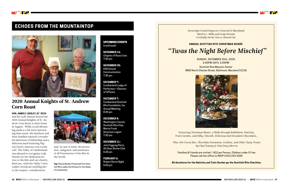

### **ECHOES FROM THE MOUNTAINTOP**



UPCOMING EVENTS (continued)

**NOVEMBER 16:** Chapter of Rose Croix 7:30 pm

**NOVEMBER 30:** KSA Annual **Communication** 7:30 pm

**DECEMBER 7:** Cumberland Lodge of Perfection—Election of Officers

**DECEMBER 7:** Cumberland Scottish Rite Foundation, Inc. Annual Meeting 8:30 pm

**DECEMBER 8:**  Washington County Scottish Rite Club, Morris Frock American Legion 7:30 pm

**DECEMBER 11 :** Joint Eggnog Party, Ali Ghan Shrine Club 6:30 pm

**FEBRUARY 6:** Robert Burns Night 5:00 pm

### 2020 Annual Knights of St. Andrew Corn Roast

**HON. JAMES Z. BOSLEY, 32˚ KCCH**

and his Lady Dianne hosted the 2020 Annual Knights of St. Andrew Corn Roast at their home in August. While social distancing made it a bit more interesting than usual, the brethren and their families enjoyed a wonderful afternoon of fellowship and a delicious meal featuring Higson Farm's famous corn on the cob! The Valley of Cumberland was pleased to recognize Lady Dianne for her dedicated service to the Rite and our charity, RiteCare, with the Valley's first Ladies Certificate entitling her to the respect, consideration,



and, in case of need, the protection, safeguard, and assistance of all Freemasons of the Rite in the world.

**Top:** Dianne Bosley Presented first Scottish Rite Ladies Certificate for the Valley of Cumberland

*Featuring Christmas Music, a Walk through Bethlehem, Nativity, Train Garden, and Silky, Smooth, Delicious and Decadent Chocolates…* 

*Plus: Hot Cocoa Bar, Chocolate Fountains, Cookies, and Other Tasty Treats By Chef Tommy & Chef Patty Morris*

Families & Friends are invited | \$10 per Person, Children under 5 Free Please call the office to RSVP (410) 243-3200

**All donations for the Nativity and Train Garden go the Scottish Rite Charities.**

*Sovereign Grand Inspector General in Maryland Marlin L. Mills and Lady Brenda Cordially Invite You to Attend Our*

**ANNUAL SCOTTISH RITE CHRISTMAS SOIRÉE**



## *"Twas the Night Before Mischief"*

SUNDAY, DECEMBER 20th, 2020 2:00PM UNTIL 5:00PM

Scottish Rite Masonic Center 3800 North Charles Street, Baltimore, Maryland 21218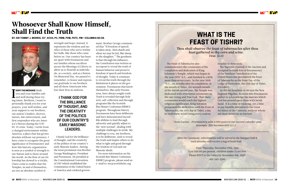After the Ceremony, refreshments will be served in the Banquet Hall & each attendee will receive a bag of fresh fruit

> Date: Thursday, November 19th, 7pm Cost \$20.00 per person, children under 12 are free Please RSVP to the Office by November 9th, 2020 410-243-3200

## **WHAT IS THE FEAST OF TISHRI?**

*Thou shalt observe the feast of tabernacles after thou hast gathered in thy corn and wine. Deut. 16:13*

The Feast of Tabernacles also commemorates the ceremonies of the completion and dedication of King Solomon's Temple, which was begun in the year 2992 \*A.L., and finished in a little more than seven years. In the year 3001 \*A.L., six months after its completion, in the month of Tishri, the seventh month of the Jewish sacred year, the Temple was dedicated with reverential ceremonies to the one Living and True God. That these ceremonies would reach the highest religious significance, King Solomon postponed the dedication until the Feast of Tabernacles, the 15th day of Tishri, a day he well knew would bring every zealous

Israelite to Jerusalem.

The Supreme Council of the Ancient and Accepted Scottish Rite of Freemasonry of the Southern Jurisdiction of the United States has proclaimed the Feast of Tabernacles as the Feast Day of the Lodge of Perfection, the 15th day of Tishri, (October).

**THOPE THIS MESSAGE** finds<br>you and your families safe<br>and well during these try-**HOPE THIS MESSAGE** finds you and your families safe ing times. Brethren, I want to personally thank you for your prayers, your well wishes, and your support to our brothers, our nation's leaders, doctors, nurses, law enforcement, and first responders who are America's Heroes during the COV-ID-19 crisis. Today, I write from a changed environment within America; a place that has grown desolate without our presence. I have come to recognize the great significance of Freemasonry and how this historic organization is seen as a symbol of strength to our Nation and to those around the world. As the flow of our fellowship has slowed to a trickle, I have come to realize that the Temples, in and of themselves, are not an absolute symbol of

As did the Israelites of old and the New England Pilgrims, Scottish Rite Freemasons gather to acknowledge the mercies which God has poured upon them with lavish hand. It is a time of rejoicing, yet a time to pay humble adoration to the Great Architect of the Universe, without whose aid there would be no harvest.

*\*Anno Lucius – Freemasonry adds 4,000 years to our current calendar year (example: 2011 becomes 6011 A.L.).*



### Whosoever Shall Know Himself, Shall Find the Truth

#### **BY: SIR TOMMY J. MORRIS, 32°, KCCH, PC, PWM, PVM, PGTC, PM—COLUMBIA NO.58.**



strength and hope; instead, it represents the wisdom and sacrifice of those who serve within her halls, like those who came before us. Our country has been set apart with freemasons and our families whose sacrifices secure the Blessings of Liberty to allow us to flourish as individuals, as a society, and as a Nation. On Memorial Day, we paused to remember, to honor and express our gratitude to our brothers and all those Americans who lost their lives in uniform.

I thank God for the brilliance of thought, and the creativity of the politics of our country's early Masonic leaders. Among the most prominent was Brother George Washington, President and Freemason. He presided at the Constitutional Convention of 1787 which established the Constitution of the United States of America and a federal govern-

ment. Brother George commented that "If freedom of speech is taken away, then dumb and silent we may be led, like sheep to the slaughter." The goodness is that through his influence, the Constitution was written as an exposé to reveal the truth of human behavior and preserve freedom of speech and freedom of thought. Today it continues to reveal the truth through the limitations it places on the government. Freemasons that know themselves, like early Freemasons, have always sought truth. Truth is revealed through Holy writ, self-reflection and through programs like the Scottish Rite Master Craftsman (SRMC) program. Throughout history Freemasons have been deliberate and have demonstrated incredible abilities to lead through adversity and quickly adjust to the 'new normal', dealing with multiple challenges in stride. My challenge to you, my brethren, is to be deliberate, seek to reveal the truth and inspire others to do what is right and good through the wisdom of God and our Masonic ideals.

For more information on the Scottish Rite Master Craftsman (SRMC) program, please send an e-mail to: mc@scottishrite.org

### **I THANK GOD FOR THE BRILLIANCE OF THOUGHT, AND THE CREATIVITY OF THE POLITICS OF OUR COUNTRY'S EARLY MASONIC LEADERS.**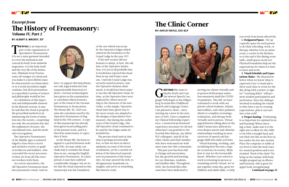T **HE RITUAL** is an important part of the organization of Speculative Freemasonry. It is not a mere garment intended to cover the institution and conceal its body from unlawful inspection. It is the body itself and the very life of the institution. Eliminate from Freemasonry all vestiges of a ritual and you make it a mere lifeless mass. Its characteristic as a benevolent or as a social association might continue, but all its pretensions as a speculative system of science and philosophy would be lost.

As a definition of this important and indispensable element in the Masonic system, it may be said that the ritual is properly the prescribed method of administering the forms of initiation into the society, comprising not only the ceremonies but also the explanatory lectures, the catechismal tests, and the methods of recognition.

The Operative Freemasonry of the Middle Ages is acknowledged to have been a secret and exclusive society or guild of architects and builders, who concealed the secret processes of their art from all who were not workers with them.

If the new society did not hesitate to adopt, at first, the old laws of the Operative institution, it is not at all probable that it would have rejected the ritual then in use and frame a new one. Until the Grand Lodge was securely seated in power, and the Operative element eliminated, it would have been easier to use the old Operative ritual. In time, as the Operative laws were replaced by others more fitting to the character of the new Order, so the simple, Operative ritual must have given way to the more ornate one adapted to the designs of Speculative Freemasonry. But during the earlier years of the Grand Lodge, this old Operative ritual continued to be used by the lodges under its jurisdiction.

As a secret association, the old Operative Freemasons must have possessed a ritual. And we



### **TAN**

### *Excerpt from*  The History of Freemasonry: *Volume IV, Part 2*

#### **BY: ALBERT G. MACKEY, 33°**

have, to support this hypothesis, not only logical inference but unquestionable historical evidence. German archaeologists have given us the examination or catechism which formed a part of the ritual of the German Steinmetzen or Stonecutters. The Sloane MS. No. 3329 contains the catechism used by the Operative Freemasons of England in the 17th century. A copy of this manuscript has already been given in preceding parts of the present work, and it is therefore unnecessary to reproduce it here.

As the Sloane MS. has been assigned to a period between 1640 and 1700, we may safely conclude that it contains the ritual, then in use, among the English Operative Freemasons. At a later period, it may have suffered considerable changes, but we infer that the ritual exposed in that manuscript was the foundation

of the one which was in use by the Operative lodges which united in the formation of the Grand Lodge in the year 1717.

The precise ritual used at that time is perhaps irretrievably lost, so that we have no direct, authentic account of the forms of initiation, yet by a careful collation of the historical material now in possession of the Fraternity, we may unravel the web, to all appearance hopelessly entangled, and arrive at something like historic truth.

G **REETINGS!** My name is Hayley Boyle and I am the newest Speech Language Pathologist at the Hilgenberg Scottish Rite Childhood Speech and Language Center. I am pleased to share , since starting my career in the summer of 2019, I have completed my Clinical Fellowship experience, a mentored professional experience necessary for all new clinicians! I am grateful to the Scottish Rite Masons, my fellow SLP colleagues, and all of the clinic clients and their families who have welcomed me with open arms into this community.

This past year has been full of change and uncertainty, but also growth and learning for our clinicians, students, and families alike. Throughout 2020, the Scottish Rite clinicians have been dedicated to

### The Clinic Corner

**BY: HAYLEY BOYLE, CCC-SLP**



serving our clients virtually and in person (with proper sanitation measures) amid the COVID 19 pandemic. This fall, we have continued to work with our private school students, infants and toddlers, and other pediatric clients to complete screenings, evaluations, and therapy both virtually and in person. Virtual appointments taking place in the child's home have allowed for even deeper parent and clinician relationships resulting in more carryover of speech and language skills into daily activities. Virtual learning, working, and socializing have become a regular occurrence in society, likely here to stay for the foreseeable future. Whether your school or work is returning in person or remaining strictly virtual, we've put together some tips, great for children and adults alike, to help



you work from home effectively.

1. Designated Space—Set up a specific space for each person to do their schooling, work, or therapy whether it be an entire room, a corner in the kitchen, or at the end of the dining room table, small spaces work too! Physical boundaries help set the expectations for when it is time to learn and work.

2. Visual Schedule and Expectations/Rules—We all perform better when we know what is expected of us! A visual aid to show each class or event for the day along with a poster or sign for "Learning Rules" will promote student participation and motivation. Have the child get involved in making the visuals so they have a say in creating expectations, plus it can turn into a fun craft!

3. Proper Seating—Positioning is so important for optimal focus and learning! When choosing a chair, make sure it is the right size to allow for the child to sit with a straight back and rest their feet flat on the floor (a box under the feet also works). Place the computer or tablet at eye level so that the neck stays in a neutral position and is not strained. Tired of the chair? Try lying on the tummy with body weight propped up on elbows and forearms, this is great for upper body strengthening!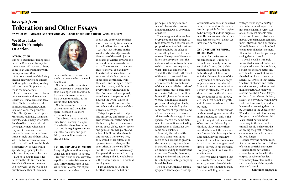### We Must Take Sides Or Principle Of Action

### **INTRODUCTION**

It is not a question of taking sides between Russia and Turkey; for these States will, sooner or later, come to an understanding without my intervention.

It is not a question of declaring oneself in favour of one English faction against another; for they will soon have disappeared, to make room for others.

I am not endeavoring to choose between Greek and Armenian Christians, Eutychians and Jacobites, Christians who are called Papists and Lutherans, Calvinists, Anglicans, the primitive folk called Quakers, Anabaptists, Jansenists, Molinists, Socinians, Pietists, and so many other 'ists. I wish to live in peace with all these gentlemen, whenever I may meet them, and never dispute with them; because there is not a single one of them who, when he has a crown to share with me, will not know his business perfectly, or who would spend a single penny for the salvation of my soul or his own.

I am not going to take sides between the old and the new French Parliaments, because in a few years, there will be no question of either of them nor





### *Excerpts from*  Toleration and Other Essays

**BY: VOLTAIRE—INITIATED INTO FREEMASONRY—LODGE OF THE NINE SISTERS—APRIL 7TH, 1778**

between the ancients and the moderns because the trial would be endless.

Nor between the Jansenists and the Molinists; because they exist no longer, and thank God, five or six thousand volumes have become as useless as the works of St. Ephraim.

Nor between the partisans of the French and the Italian opera, because it is a mere matter of fancy.

The subject I have in mind is but a trifle—namely, the question whether there is or is not a God; and I am going to examine it in all seriousness and good faith, because it interests me, and you also.

### **I: OF THE PRINCIPLE OF ACTION**

Everything is in motion, everything acts and reacts, in nature.

Our sun turns on its axis with a rapidity that astonishes us; other suns turn with the same speed, while countless swarms of planets revolve round them in their

principle, one single mover, when I observe the constant and uniform laws of the whole of nature.

The same gravitation reaches every globe and causes them to tend towards each other in direct proportion, not to their surfaces, which might be the effect of an impelling fluid, but to their masses. The square of the revolution of every planet is as the cube of its distance from the sun (which proves, one may note, what Plato had somehow divined, that the world is the work of the eternal geometrician).

The rays of light are reflected and refracted from end to end of the universe. All the truths of mathematics must be the same on the star Sirius as in our little home. If I glance at the animal world, I find that all quadrupeds, and all wingless bipeds, reproduce their kind by the same process of copulation, and all the females are viviparous. All female birds lay eggs. In each species, there is the same manner of reproduction and feeding. Each species of plants has the same basic qualities.

Assuredly the oak and the nut have come to no agreement to be born and to grow in the same way, any more than Mars and Saturn have come to an understanding to observe the same laws. There is, therefore, a single, universal, and powerful intelligence, acting always by invariable laws.

No one doubts that an armillary sphere, landscapes, drawings

orbits, and the blood circulates more than twenty times an hour in the lowliest of our animals. A straw that is borne on the wind tends naturally towards the centre of the earth, just as the earth gravitates towards the sun, and the sun towards the earth. The sea owes to the same laws its eternal ebb and flow. In virtue of the same laws, the vapours which form our atmosphere rise continually from the earth, and fall again in dew, rain, hail, snow, and thunder. Everything, even death, is active. Corpses are decomposed, transformed into plants, and nourish the living, which in their turn are the food of others. What is the principle of this universal activity?

This principle must be unique. The unvarying uniformity of the laws which control the march of the heavenly bodies, the movements of our globe, every species and genus of animal, plant, and mineral, indicates that there is one mover. If there were two, they would either differ, or be opposed to each other, or like each other. If they were different, there would be no harmony; if opposed, things would destroy each other; if like, it would be as if there were only one—a twofold employment.

I am encouraged in this belief that there can be but one

of animals, or models in coloured wax, are the work of clever artists. Is it possible for the copyists to be intelligent and the originals not? This seems to me the strongest demonstration; I do not see how it can be assailed.

### **XVI: OF EVIL IN THE ANIMAL CALLED MAN**

So much for the beasts; let us come to man. If it be not an evil that the only being on earth that knows God by his thoughts should be unhappy in his thoughts; if it be not an evil that this worshipper of the Deity should be almost always unjust and suffering, should know virtue and commit crime, should so often deceive and be deceived, and be the victim or the executioner of his fellows, etc.; if all that be not a frightful evil, I know not where evil is to be found.

Beasts and men suffer almost without ceasing; men suffer the more because, not only is the gift of thought - often a source of torture, but this faculty of thinking always makes them fear death, which the beast cannot foresee. Man is a very miserable being, having but a few hours of rest, a few moments of satisfaction, and a long series of days of sorrow in his short life. Everybody admits and says this; and it is true.

They who have protested that all is well are charlatans. Shaftesbury, who set the fashion in this, was a most unhappy man. I have seen Bolingbroke torn

with grief and rage; and Pope, whom he induced to put this miserable joke into verse, was one of the most pitiable men I have ever known, misshapen in body, unbalanced in temperament, always ill and a burden to himself, harassed by a hundred enemies until his last moment. At least let us have happy beings saying that all is well.

If by all is well it is merely meant that a man's head is happily placed above his shoulders, so that his eyes are better situated beside the root of his nose than behind his ears, we may assent. All is well in that sense. The laws of physics and mathematics are very well observed in his structure. A man who saw the beautiful Anne Boleyn, or the still more beautiful Mary Stuart, in her youth, would have said that it was well; would he have said it on seeing them die by the hand of the executioner? Would he have said it on seeing the grandson of the beautiful Mary Stuart perish in the same way in the heart of his capital? Would he have said it on seeing the great-grandson even more miserable because he lived longer?

Glance over the human-race, if it be but from the prescriptions of Sylla to the Irish massacres.

Behold these battlefields, strewn by imbeciles with the corpses of other imbeciles, whom they have slain with a substance born of the experiments of a monk.

*Continued on page 25*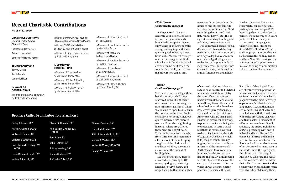#### **CHARITABLE DONATIONS**

Jesse & Hertha Adams Charitable Trust Highland Lodge No. 184 Arthur F. Hebbeler III Estate of William E. Harris

### **TEMPLE DONATIONS**

Tommy Morris Ternin Morris

James T. Hill, Jr.

#### **IN HONOR OF CONTRIBUTIONS**

In Honor of Ray Lewis's Birthday by Jack and Cheryl Young

In Honor of MWPGM Jack Young's 50 years in Masonry by Cheryl Young In Honor of SGIG Marlin Mills's Birthday by Jack and Cheryl Young In Honor of E. Ray Leppo's Birthday by Jack and Cheryl Young

**IN MEMORY OF CONTRIBUTIONS**

In Memory of D. Wilson Bay by Marlin and Brenda Mills

In Memory of Tilden A. Cushing by Marlin and Brenda Mills

In Memory of Phyllis V. Nichols by Marlin and Brenda Mills



### Recent Charitable Contributions

**AS OF 8/31/2020**

### Brothers Called From Labor To Eternal Rest

4. Keep it Fun!-You can decorate your designated work station for the season with homemade pumpkins, leaves, snowflakes or snowmen; crafts are a great way to practice sequencing and following directions skills. Movement throughout the day can give our brain a break and is fun too! Physical activity can be hard when the weather is cold. If you're staying indoors you can go on a

| Darley T. Travers, 33°               |
|--------------------------------------|
| Harold A. Saxton, Jr., 32°           |
| Wallace E. Boston, 32°               |
| Chester E. Whitlock, 32°             |
| Hon. Charles E. Ludwig, 32°,<br>KCCH |
| Leslie R. Hesselton, Jr., 32°        |
| William S. Purnell, 32°              |

Clinton R. Albrecht, 32° Hon. William L. Kugel, 32°, KCCH Paul R. Lee, 32° John. H. Cook, 32° Ill. D. Wilson Bay, 33° James Q. Myers, 32°

Ill. Charles C. Doll, 33°

### Tilden A. Cushing, 32° Forrest M. Jacobs, 32° Philip B. Onderdonk, Jr., 32° Richard A. Walters, 32° Neil W. Hoffmier, 32°, KCCH George W. Cook, 32°

### *Clinic Corner Continued from page 21*

scavenger hunt throughout the house to find objects using descriptive concepts such as "find something that is….soft, red, flat, round, heavy" etc. This is a great vocabulary building and following directions activity. This continued period of social distance has changed the way we interact with our community on a day to day basis as we now opt for small gatherings, virtual events, and phone calls to stay connected. State guidelines changed the way we hosted our annual fundraisers and holiday

parties this season but we are still grateful for each person's participation and support! We hope to gather with all of you in person, the same way as in years past, to celebrate next year!

The Speech-Language Pathologists of the Hilgenberg Scottish Rite Childhood Speech and Language Center wish you a safe and healthy holiday season and New Year. We thank you for your continued support in our mission to bring communication skills to the families we serve!

#### *Voltaire Continued from page 23*

See these arms, these legs, these bloody brains, and all these scattered limbs; it is the fruit of a quarrel between two ignorant ministers, neither of whom would dare to open his mouth in the presence of Newton, Locke, or Halley; or of some ridiculous quarrel between two forward women. Enter the neighboring hospital, where are gathered those who are not yet dead. Their life is taken from them by fresh torments, and men make a fortune out of them, keeping a register of the victims who are dissected alive, at so much a day, under the pretext of healing them.

See these other men, dressed as comedians, earning a little money by singing, in a foreign language, a very obscure and insipid song, to thank the author

rage done to nature; and then tell nection with Alexander VI. and Julius II.; say it over the ruins of a hundred towns that have been and amid the twelve millions of Americans who are being assassinated, in twelve million ways, to punish them for not being able to them. Say it to-day, the 24th fingers, the two-hundredth annage to the equally unnumbered retreats of sorrow that cover the earth, to that swarm of diseases

of nature for this horrible outme calmly that all is well.1 Say the word, if you dare, in conswallowed up by earthquakes, to understand in Latin a papal bull that the monks have read of August 1772; a day on which [234] the pen trembles in my niversary of the massacre of St. Bartholomew. Pass from these innumerable theatres of carwhich slowly devour so many poor wretches while they yet



live; think of that frightful ravage of nature which poisons the human race in its source, and associates the most abominable of plagues with the most necessary of pleasures. See that despised king Henry III., and that mediocre leader the Duke of Mayenne, struck down with the small-pox while they are waging civil war; and that insolent descendant of a Florentine merchant, Gondi, and Retz, the priest, archbishop of Paris, preaching with sword in hand and body diseased. To complete this true and horrible picture, fancy yourself amid the floods and volcanoes that have so often devastated so many parts of the world; amid the leprosy and the plague that have swept it. And do you who read this recall all that you have suffered, admit that evil exists, and do not add to so many miseries and horrors the wild absurdity of denying them.

In Memory of Miriam (Ann) Lloyd by Paul M. Lloyd

In Memory of Harold A. Saxton, Jr. by Mrs. Helen Saxton

In Memory of Pat Moore by Mrs. Helen Saxton

In Memory of Harold A. Saxton, Jr. by Big Oak Lodge, Inc.

In Memory of Mary Powell by E. Ray Leppo, Jr.

In Memory of Miriam (Ann) Lloyd by Jack and Cheryl Young

In Memory of Tilden A. Cushing by T. Scott Cushing, Sr.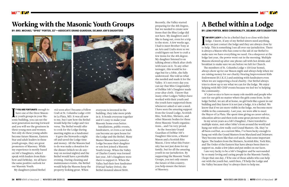**F YOU ARE FORTUNATE** enough thave one of the three Mason is youth groups in your Ma-**F YOU ARE FORTUNATE** enough to have one of the three Masonsonic building, you can see the next generation moving forward and you will see the greatness in these young men and women. Not only do these young adults become future Masons, Eastern Star and adult leaders in these youth groups, they are great promoters of Masonry. While my experience is mostly based on Job's Daughters, when I speak with leaders from Rainbow and DeMolay, we all have the same positive outlook for our Masonic Youth.

My daughters joined Bethel

**EXECUTE AM VERY LUCKY** to be in a Bethel that is so close with their lodge. I know, if any of my Bethel sisters need anything, we can just contact the lodge and they are always close by **AM VERY LUCKY** to be in a Bethel that is so close with their lodge. I know, if any of my Bethel sisters need anything, to help. This is something I see all over our jurisdiction. There is always a Mason who has come to the aid of our Bethel to make sure we have everything we need. On a sleepover at the lodge last year, the power went out in the morning. Multiple Masons showed up after one phone call with hot drinks and breakfast to make sure we ate before we left for Church. The members of St. Columba Lodge #150 (our home), always show up for our Mason night and always help when we are raising money for our charity Hearing Improvement Kids Endowment (H.I.K.E.) and assisting with fundraisers even when we are supporting a local charity. Our Bethel always tries to show up to see what we can for the lodge. We enjoy helping with MD CHIP events because we feel we're helping the community.

 It's just so nice to have so many role models and people who care for our girls no matter where the girls come from. In the In my seven years as a Job's Daughter, I have traveled to I am very lucky to be a Job's Daughter and be surrounded

lodge/bethel, we are all at home, no girl feels like a guest in our building and they know it is not just a lodge, it is a Bethel. We know that if we are more visible in the lodge, we become more visible in the community. Last year, we were able to meet the Mayor of La Plata. She spent time giving us career advice, education advice and then took some great pictures with us. multiple states, met other Jobie's from around the world and hung out with a few really cool Grand Masters. Ok, they've all been cool but, as a current Miss, I've been lucky enough to hang out with the Grand Masters from Maryland and Delaware. They become more like that cool uncle, than some important figure. The leaders from the Shriners, Scottish Rite, York Rite, and The Order of the Eastern Star have always been there to support us, make a few jokes and put smiles on our faces. by so many loving and caring people in the Masonic Family. I hope that one day, I'll be one of those adults who can help out with the youth but, until then, I'll help the Lodge and the Valley because they're always there to help me.





## Working with the Masonic Youth Groups

**BY: BRO. MICHAEL "SPIKE" PORTER, 32°—ASSOCIATE GRAND GUARDIAN, DELMAR JOB'S DAUGHTERS**



# A Bethel within a Lodge

**BY: LENA PORTER, MISS CONGENIALITY, DELMAR JOB'S DAUGHTERS**

#62 soon after I became a Fellow Craft at St. Columba Lodge #150 in La Plata, MD. It was all new to me, but I saw how the Bethel would help the Lodge and vice versa. The Bethel would offer to cook for the Lodge during meeting nights as a fundraiser - it gave the Stewards a night off and saved the Lodge time and money. All the Masons had to do was make a donation for the dinner (which we do anyway on normal nights) and the Bethel would have a profitable evening. During cleaning and maintenance events, the Bethel would help the Masons keep the property looking great. When

everyone is invested in the building, they take more pride in it. It bonds everyone together and it's easy to make your Masonic home even better.

Installations, public events, fundraisers, or even a car wash can become an open house for the Lodge and the Bethel. Many Master Masons have joined a Lodge because their daughter or son first joined a Masonic Youth Group. When the Valley of Charles County was formed last year, Job's Daughters were there to support it. When the Valley had their first fundraiser (Virtual Turkey Drive), the Bethel donated almost \$100.

Recently, the Valley started preparing for the 4th Degree, but we needed to create new items that the Blue Lodge did not have. My daughters and I like to hang out, even for a trip to the store. A few weeks ago, I had to meet Brother Tony at an Arts and Crafts store so we could figure out how to craft a few items for the 4th degree. My daughter listened to us talking about a black altar cloth with tears on it. To any other teenager, this would be foreign but for a Jobie, she fully understood. She told us what she needed and made it for the Valley. It's not every day you can say that Miss Congeniality of DelMar Job's Daughter made your altar cloth. I know that many other Lodges/Valleys have worked with their youth and the youth have supported them whenever asked or saw a need. I have seen the amazing support from the Grand Lodge, Scottish Rite, York Rite, Shriners, and other Masonic bodies for these three Masonic Youth organizations… and I'm very proud.

As the Associate Grand Guardian of DelMar Job's Daughter this term, a Master Mason and a Scottish Rite Mason, I love what this Fraternity has not just done for my family, but for all the amazing youth in our jurisdiction. By supporting the Masonic Youth Groups, you not only ensure the future of this country, you help ensure the future of Masonry.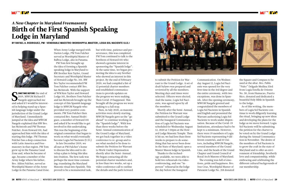**SEPORE THE SEFORE THE CHANGE OF SHELF AND SERVIE ARE SERVIET SHELF AND SHELF AND SHELF AND SHELF AND SHELF AND SHELF AND SHELF AND SHELF AND SHELF AND SHELF AND SHELF AND SHELF AND SHELF AND SHELF AND SHELF AND SHELF AND OMETIME BEFORE** the end of 2019, MWGM Richard P. and asked if I would be interested in helping stand up a Spanish language lodge under the jurisdiction of the Grand Lodge of Maryland. I immediately jumped at the idea and MWGM Naegele explained that RW Bro. Ian McIntosh and PM Thomas Fulcher, from Howard 101, had approached him with the idea of starting this lodge. PM Thomas Fulcher has a deep connection with Latin America and Freemasonry in that region. PM Tom grew up in the Panama Canal Zone and, when he became of age, became a member of the Army lodge where his father, Bro. Aldon Fulcher, served as Worshipful Master of the Army Lodge in the Panama Canal Zone.



### *A New Chapter in Maryland Freemasonry* Birth of the First Spanish Speaking Lodge in Maryland

**BY RAFAEL A. RODRIGUEZ, PM - VENERABLE MAESTRO (WORSHIPFUL MASTER), LOGIA SOL NACIENTE (U.D.)**



When Army Lodge merged with Darien Lodge, PM Tom Fulcher served as Worshipful Master of Balboa Lodge, also in Panama.

PM Tom first brought up the idea of forming a Spanish speaking lodge in Maryland to RW Brother Ken Taylor, Grand Secretary and Worshipful Master of Howard Lodge No. 101. RW Bro Taylor recommended PM Tom Fulcher contact RW Bro. Ian McIntosh. With the support of WM Ken Taylor and Howard Lodge 101, Brothers Tom Fulcher and Ian McIntosh brought up the concept of this Spanish language lodge to MWGM Naegele who provided very positive comments. PM Tom Fulcher then contacted Bro. Samuel Rodriguez, a member of Howard 101 and asked if he would like to get involved in this undertaking. This was the beginning of the original committee that began to work on what would eventually become Logia Sol Naciente (U.D.)

In late December 2019, we all met at PM Fulcher's home to discuss the idea and to develop a plan to bring this idea into fruition. The first task was perhaps the most time consuming; translating the Maryland Masonic ritual into Spanish. This proved to be a monumental task, but with time, patience and perseverance, this was completed. PM Tom continued to talk to the brethren of Howard 101 who showed a genuine interest in sponsoring the "Spanish lodge". At the same time, we began promoting the idea to any brother who showed an interest in this project. By the end of February 2020, we had compiled a list of 12 potential charter members and established communications to provide updates on the progress we were making. Then Covid-19 happened. This brought all the progress we were making to a full stop.

Then, in July 2020, as masonic activities were slowly starting, MWGM Naegele gave us the "go ahead" to continue working on the "Spanish lodge". With less than three weeks before the Semi-Annual communication of the Grand Lodge of Maryland, we got back together in a video conference to re-group and to see what needed to be done to submit the Petition for Warrant to Work Under Dispensation shortly after the Semi-Annual. We began contacting all the potential charter members and, in less than two weeks, set up a video conference call to outline the details and the path forward



to submit the Petition for Warrant to the Grand Lodge. A set of draft bylaws was prepared and reviewed by all the members. Meeting days and times were selected. Officers were elected. And the name, Logia Sol Naciente, was agreed upon by all the members.

Shortly after the Semi-Annual, the Petition for Warrant was submitted to the Grand Lodge and the Inaugural Communication of Logia Sol Naciente was scheduled for Wednesday August 12, 2020 at 7:30pm at the Howard Lodge Masonic Temple. Then it hit us; we had less than three weeks to prepare to do something that has never been done in the State of Maryland; open a Master Mason lodge in Spanish.

Thanks to the technology available, we were able to hold two rehearsals via videoconferencing, and one "inperson" rehearsal in the lodge the day before the Inaugural

Communication. On Wednesday August 12, Logia Sol Naciente was opened for the very first time in the 3rd degree and the entire ceremony, with two exceptions, was done in Spanish. After the opening ceremony, MWGM Naegele greeted and congratulated the members of Logia Sol Naciente in Spanish and English and presented the Warrant authorizing Logia Sol Naciente to work under dispensation. Because of the Covid-19 limitations, attendance had to be kept to a minimum. However, there were 19 members of Logia Sol Naciente representing 9 different countries, and 10 visitors, including MWGM Naegele, several members of the Grand Line, and the heads of the Grand Chapter and Grand Council of Royal Arch Masons of Maryland. The evening was full of emotions, pride and happiness. Bro. Jose Cruz, Worshipful Master of Patuxent Lodge No. 218 donated



the Square and Compass to be used at the altar. Bro. Pablo "Paito" Delgado Medina 33rd from Logia Estella de Oriente No. 30, from Humacao, Puerto Rico, donated and dedicated a beautiful Holy Bible in Spanish to the lodge.

As of this writing, the members of Logia Sol Naciente continue to work diligently learning the ritual, bringing up new ideas and developing the plans for the lodge as we move forward. Logia Sol Naciente will be submitting the petition for the charter to be voted on by the Grand Lodge during the Annual Communication in November. The desire of the members of Sol Naciente is to grow the craft in the state of Maryland and to offer an environment of friendship, brotherly love and companionship, while embracing and celebrating the different cultural backgrounds of our membership.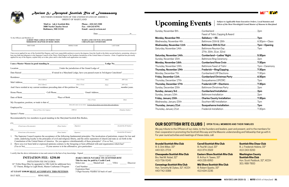| Feast of Tishri, Capping & Award  |  |
|-----------------------------------|--|
|                                   |  |
|                                   |  |
|                                   |  |
|                                   |  |
| 27th, 30th, 31st, 32nd            |  |
| Cumberland—Ladies' Night5:30pm    |  |
|                                   |  |
| Cumberland Rose Croix 7:30pm      |  |
|                                   |  |
|                                   |  |
|                                   |  |
| Cumberland Christmas Party 6:30pm |  |
|                                   |  |
| Frederick LOP—Elections7:30pm     |  |
|                                   |  |
|                                   |  |
|                                   |  |
|                                   |  |
|                                   |  |
|                                   |  |
|                                   |  |
|                                   |  |

| Feast of Tishri, Capping & Award                       |  |
|--------------------------------------------------------|--|
|                                                        |  |
|                                                        |  |
|                                                        |  |
|                                                        |  |
| 27th, 30th, 31st, 32nd                                 |  |
|                                                        |  |
|                                                        |  |
| Monday, November 16thCumberland Rose Croix7:30pm       |  |
|                                                        |  |
|                                                        |  |
| Monday, December 7th Cumberland LOP Elections 7:30pm   |  |
| Friday, December 11thCumberland Christmas Party 6:30pm |  |
|                                                        |  |
| Thursday, December 17th  Frederick LOP-Elections7:30pm |  |
|                                                        |  |
| Sunday, January 3rd Cumberland Installation 2pm        |  |
|                                                        |  |
| Friday, January 15thCharles County Installation7:30pm  |  |
|                                                        |  |
| Thursday, January 21st Susquehanna Installation7pm     |  |
|                                                        |  |

**Mail to: A&A Scottish Rite Phone - 410-243-3200**<br>3800 North Charles Street Fax - 410-243-8791 **3800 North Charles Street Baltimore, MD 21218 Email - aasr@verizon.net**

|                                                                                                                                                                                         |                   |             |  | Date                                                                                                                                                                                                                                                                                                                                                                        | 20 |
|-----------------------------------------------------------------------------------------------------------------------------------------------------------------------------------------|-------------------|-------------|--|-----------------------------------------------------------------------------------------------------------------------------------------------------------------------------------------------------------------------------------------------------------------------------------------------------------------------------------------------------------------------------|----|
| To the Officers and Members of:<br><b>ALBERT PIKE LODGE OF PERFECTION</b><br><b>MARYLAND COUNCIL OF KADOSH</b><br><b>MEREDITH CHAPTER OF ROSE CROIX</b><br><b>CHESAPEAKE CONSISTORY</b> |                   |             |  |                                                                                                                                                                                                                                                                                                                                                                             |    |
|                                                                                                                                                                                         | <b>FIRST NAME</b> | MIDDLE NAME |  | <b>LAST NAME</b>                                                                                                                                                                                                                                                                                                                                                            |    |
|                                                                                                                                                                                         |                   |             |  | I have never applied for any of the Scottish Rite Degrees, and I now respectfully petition to receive the degrees, from the fourth to the thirty-second inclusive, promising always to<br>bear true faith and allegiance to the Supreme Council of the Thirty-Third Degree of the Southern Jurisdiction of the United States of America. (Note: If applicant has previously |    |

*Edicts of the Most Worshipful Grand Master of Masons in Maryland*



### *Ancient & Accepted Scottish Rite of Freemasonry*

1. The Supreme Council requires the acceptance of the following fundamental principles: The inculcation of patriotism, respect for law and order, underlying loyalty to the principles of civil and religious liberty, and the entire separation of church and state as set forth in the Constitution of the United States of America. Do you approve wholeheartedly of these principles? (Yes or No)

 $\mathcal{L}_\text{max}$  and the contribution of the contribution of the contribution of the contribution of the contribution of the contribution of the contribution of the contribution of the contribution of the contribution of the

SOUTHERN JURISDICTION OF THE UNITED STATES OF AMERICA ORIENT OF MARYLAND

2. Have you ever been held or expressed opinions contrary to the foregoing or been affiliated with and organization which has? (Yes or No) The set of No  $\cdot$  If your answer is in the affirmative, give particulars:

I certify that the above information is true and correct to the best of my knowledge. Signed

**This fee may be paid by Credit Card.** Select one: \_\_\_\_\_ MasterCard \_\_\_\_\_ VISA \_\_ Discover

**I** am a Master Mason in good standing in **the set of the set of the set of the set of the set of the set of the set of the set of the set of the set of the set of the set of the set of the set of the set of the set of the** Location Under the jurisdiction of the Grand Lodge of Date Raised **Example 20** If raised in a Maryland Lodge, have you passed exam in 3rd degree Catechism? Residence \_\_\_\_\_\_\_\_\_\_\_\_\_\_\_\_\_\_\_\_\_\_\_\_\_\_\_\_\_\_\_\_\_\_\_\_\_\_\_\_\_\_\_\_\_\_\_\_\_\_\_\_\_\_\_\_\_\_\_\_\_\_\_\_\_\_\_\_\_\_\_\_\_\_\_\_\_\_\_\_\_\_\_\_\_\_\_\_\_\_\_\_\_\_\_\_\_\_\_\_\_\_\_ Mail Address\_\_\_\_\_\_\_\_\_\_\_\_\_\_\_\_\_\_\_\_ \_\_\_\_\_\_\_\_\_\_\_\_\_\_\_\_\_\_\_\_\_\_\_\_\_\_\_\_\_\_\_\_\_\_\_\_\_\_\_\_\_\_\_\_\_\_\_\_\_\_\_\_\_\_\_\_\_\_\_\_\_\_\_\_\_\_\_\_\_\_\_\_\_\_\_\_\_\_\_\_ And I have resided at my current residence preceding date of this petition for  $\blacksquare$  months/years. Home Phone\_\_\_\_\_\_\_\_\_\_\_\_\_\_\_\_\_\_\_\_\_ Cell Phone\_\_\_\_\_\_\_\_\_\_\_\_\_\_\_\_\_\_\_\_\_\_\_\_\_ Email Address\_\_\_\_\_\_\_\_\_\_\_\_\_\_\_\_\_\_\_\_\_\_\_\_\_\_\_\_\_\_\_ Date of Birth  $\frac{\text{Place of Birth}}{\text{C}(i \text{V or Town})}$ My Occupation, position, or trade is that of Employed by  $\frac{1}{\text{Number of Firm or Gov'}t \text{binum}}$  (Address) Spouse's Name \_\_\_\_\_\_\_\_\_\_\_\_\_\_\_\_\_\_\_\_\_\_\_\_\_\_\_\_\_\_\_\_\_\_\_\_\_\_\_\_\_\_\_\_\_\_\_\_\_\_\_\_\_\_\_\_\_\_\_\_\_\_\_\_\_\_\_\_\_\_\_\_\_\_\_\_\_\_\_\_\_\_\_\_\_\_\_\_\_\_\_\_\_\_\_\_\_\_ *(Street Address) (City or Town) (State) (ZIP Code) (Street Address) (City or Town) (State) (ZIP Code) (City or Town) (State fully nature of your duties.* If retired, please indicate your former duties and employer.) *(Name of Firm or Gov't Agency) (Address) (Telephone Number)*

applied for any of the degrees, explain fully as to date, place and to what bodies such application was made.)

|     | (Printed name of Recommender) | (Phone Number) | (Signature) | (Scottish Rite ID Number) |
|-----|-------------------------------|----------------|-------------|---------------------------|
| (2) |                               |                |             |                           |
|     | (Printed name of Recommender) | (Phone Number) | (Signature) | (Scottish Rite ID Number) |

Recommended by two members in good standing in the Maryland Scottish Rite Bodies,

**AT LEAST \$100.00 MUST ACCOMPANY THIS PETITION**. 3 Digit Security Number on back of card \_\_\_\_\_\_\_\_\_\_\_\_\_\_\_\_

# Upcoming Events **Subject to Applicable State Executive Orders**, Local Statutes and

### *MAKE CHECK PAYABLE TO: SCOTTISH RITE (Signature of Applicant in Full)*

Card Number:

#### **INITIATION FEE: \$250.00**  INITIATION FEE INCLUDES:

14° Trilite Ring (May be upgraded to 10K Gold for additional fee), 32° Patent, Bridge to Light Book, Master Craftsman I Program

### Expiration Date:<br>AT LEAST \$100.00 MUST ACCOMPANY THIS PETITION. 3 Digit Security N

HAT SIZE RING SIZE

### **Arundel Scottish Rite Club**

Ill. S. Dirk Wiker, 33° 443-321-2724

**Chesapeake Scottish Rite Club** Bro. Neil M. Nobel, 32° 410-736-9245

**Conowingo Scottish Rite Club**

Hon. Tomothy M. Dykes, 32°, KCCH 443-742-3388

**Carroll Scottish Rite Club** Ill. Paul M. Lloyd, 33°

410-374-2569

**Eastern Shore Scottish Rite Club** Ill. Arthur H. Tawes, 33° 443-235-8950

**Mid Shore Scottish Rite Club** III. Robert Sparks, 33° 410-634-2235



**Scottish Rite Cheer Club** Ill. J. Frederick Hobine, 33° 410-243-3200

**Washington County Scottish Rite Club** Hon. Scott Paddock, 32°, KCCH 301-988-7800

We pay tribute to the Officers of our clubs, to the founders and leaders, past and present, and to the members for their cooperation in promoting the Scottish Rite way and the Masonic understanding and fellowship that go with it. For year round activities and meetings of these clubs, call:

### **OUR SCOTTISH RITE CLUBS** | **OPEN TO ALL MEMBERS AND THEIR FAMILIES**